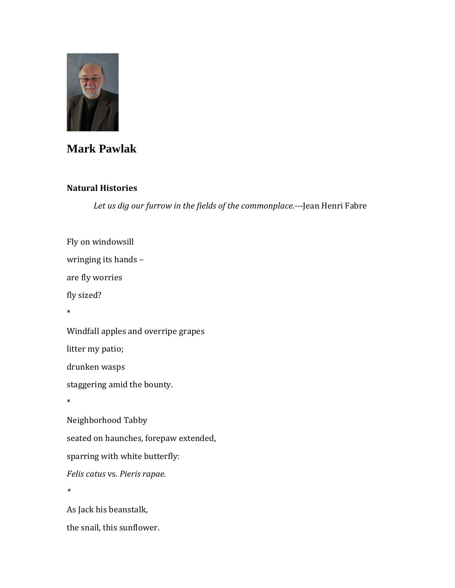

## **Mark Pawlak**

## **Natural Histories**

*[Let us dig our furrow in the fields of the commonplace.-](http://www.brainyquote.com/quotes/quotes/j/jeanhenrif311972.html)--*[Jean Henri Fabre](http://www.brainyquote.com/quotes/quotes/j/jeanhenrif311972.html)

Fly on windowsill wringing its hands – are fly worries fly sized? \* Windfall apples and overripe grapes litter my patio; drunken wasps staggering amid the bounty. \* Neighborhood Tabby seated on haunches, forepaw extended, sparring with white butterfly: *Felis catus* vs*. Pieris rapae. \** As Jack his beanstalk, the snail, this sunflower.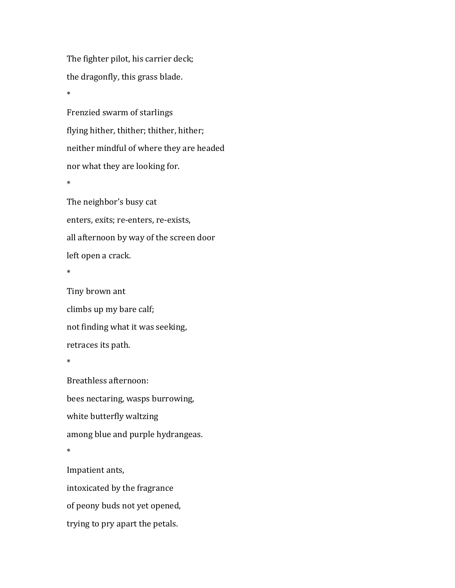The fighter pilot, his carrier deck; the dragonfly, this grass blade.

Frenzied swarm of starlings flying hither, thither; thither, hither; neither mindful of where they are headed nor what they are looking for. \* The neighbor's busy cat

enters, exits; re-enters, re-exists, all afternoon by way of the screen door left open a crack.

\*

\*

Tiny brown ant climbs up my bare calf; not finding what it was seeking, retraces its path. \*

Breathless afternoon: bees nectaring, wasps burrowing, white butterfly waltzing among blue and purple hydrangeas. \*

Impatient ants, intoxicated by the fragrance of peony buds not yet opened, trying to pry apart the petals.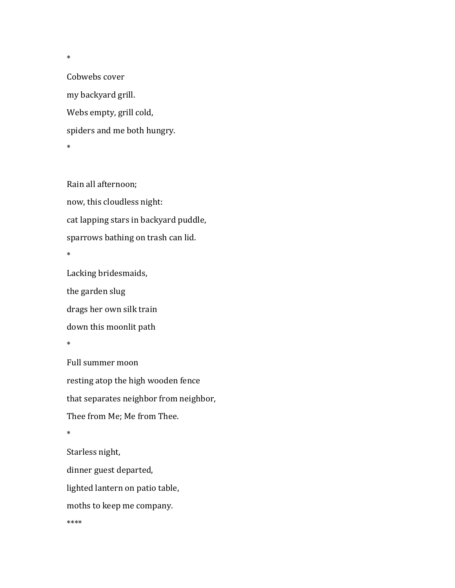Cobwebs cover my backyard grill. Webs empty, grill cold, spiders and me both hungry. \*

\*

Rain all afternoon; now, this cloudless night: cat lapping stars in backyard puddle, sparrows bathing on trash can lid. \*

Lacking bridesmaids, the garden slug drags her own silk train down this moonlit path \*

Full summer moon resting atop the high wooden fence that separates neighbor from neighbor, Thee from Me; Me from Thee. \* Starless night, dinner guest departed, lighted lantern on patio table, moths to keep me company.

\*\*\*\*